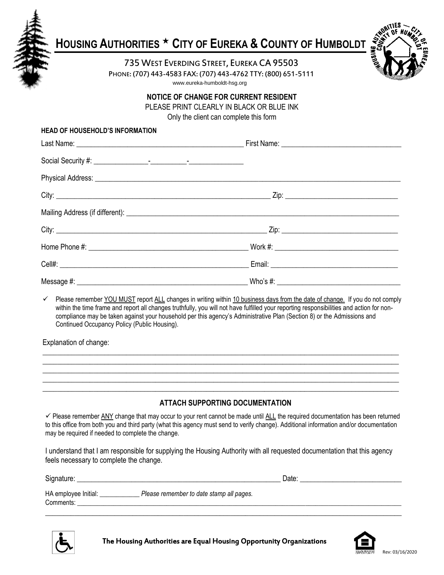

# **HOUSING AUTHORITIES CITY OF EUREKA & COUNTY OF HUMBOLDT**

735 WEST EVERDING STREET, EUREKA CA 95503

PHONE: (707) 443-4583 FAX: (707) 443-4762 TTY: (800) 651-5111

www.eureka-humboldt-hsg.org

## **NOTICE OF CHANGE FOR CURRENT RESIDENT**

PLEASE PRINT CLEARLY IN BLACK OR BLUE INK

Only the client can complete this form

✓ Please remember YOU MUST report ALL changes in writing within 10 business days from the date of change. If you do not comply within the time frame and report all changes truthfully, you will not have fulfilled your reporting responsibilities and action for noncompliance may be taken against your household per this agency's Administrative Plan (Section 8) or the Admissions and Continued Occupancy Policy (Public Housing).

 $\_$  , and the contribution of the contribution of the contribution of the contribution of  $\mathcal{L}_1$  $\_$  , and the set of the set of the set of the set of the set of the set of the set of the set of the set of the set of the set of the set of the set of the set of the set of the set of the set of the set of the set of th  $\_$  ,  $\_$  ,  $\_$  ,  $\_$  ,  $\_$  ,  $\_$  ,  $\_$  ,  $\_$  ,  $\_$  ,  $\_$  ,  $\_$  ,  $\_$  ,  $\_$  ,  $\_$  ,  $\_$  ,  $\_$  ,  $\_$  ,  $\_$  ,  $\_$  ,  $\_$  ,  $\_$  ,  $\_$  ,  $\_$  ,  $\_$  ,  $\_$  ,  $\_$  ,  $\_$  ,  $\_$  ,  $\_$  ,  $\_$  ,  $\_$  ,  $\_$  ,  $\_$  ,  $\_$  ,  $\_$  ,  $\_$  ,  $\_$  ,  $\_$  , and the set of the set of the set of the set of the set of the set of the set of the set of the set of the set of the set of the set of the set of the set of the set of the set of the set of the set of the set of th  $\_$  , and the set of the set of the set of the set of the set of the set of the set of the set of the set of the set of the set of the set of the set of the set of the set of the set of the set of the set of the set of th

Explanation of change:

**HEAD OF HOUSEHOLD'S INFORMATION**

### **ATTACH SUPPORTING DOCUMENTATION**

✓ Please remember ANY change that may occur to your rent cannot be made until ALL the required documentation has been returned to this office from both you and third party (what this agency must send to verify change). Additional information and/or documentation may be required if needed to complete the change.

I understand that I am responsible for supplying the Housing Authority with all requested documentation that this agency feels necessary to complete the change.

| Signature:                        |                                          | Date. |
|-----------------------------------|------------------------------------------|-------|
| HA employee Initial:<br>Comments: | Please remember to date stamp all pages. |       |
|                                   |                                          |       |



The Housing Authorities are Equal Housing Opportunity Organizations